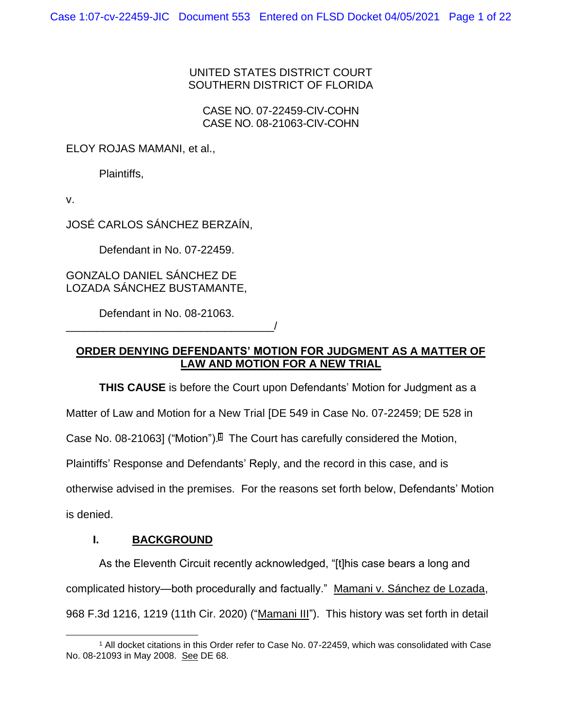UNITED STATES DISTRICT COURT SOUTHERN DISTRICT OF FLORIDA

CASE NO. 07-22459-CIV-COHN CASE NO. 08-21063-CIV-COHN

ELOY ROJAS MAMANI, et al.,

Plaintiffs,

v.

JOSÉ CARLOS SÁNCHEZ BERZAÍN,

Defendant in No. 07-22459.

GONZALO DANIEL SÁNCHEZ DE LOZADA SÁNCHEZ BUSTAMANTE,

\_\_\_\_\_\_\_\_\_\_\_\_\_\_\_\_\_\_\_\_\_\_\_\_\_\_\_\_\_\_\_\_\_\_/ Defendant in No. 08-21063.

# **ORDER DENYING DEFENDANTS' MOTION FOR JUDGMENT AS A MATTER OF LAW AND MOTION FOR A NEW TRIAL**

**THIS CAUSE** is before the Court upon Defendants' Motion for Judgment as a

Matter of Law and Motion for a New Trial [DE 549 in Case No. 07-22459; DE 528 in

Case No. 08-21063] ("Motion").<sup>1</sup> The Court has carefully considered the Motion,

Plaintiffs' Response and Defendants' Reply, and the record in this case, and is

otherwise advised in the premises. For the reasons set forth below, Defendants' Motion

is denied.

#### **I. BACKGROUND**

As the Eleventh Circuit recently acknowledged, "[t]his case bears a long and complicated history—both procedurally and factually." Mamani v. Sánchez de Lozada, 968 F.3d 1216, 1219 (11th Cir. 2020) ("Mamani III"). This history was set forth in detail

<sup>1</sup> All docket citations in this Order refer to Case No. 07-22459, which was consolidated with Case No. 08-21093 in May 2008. See DE 68.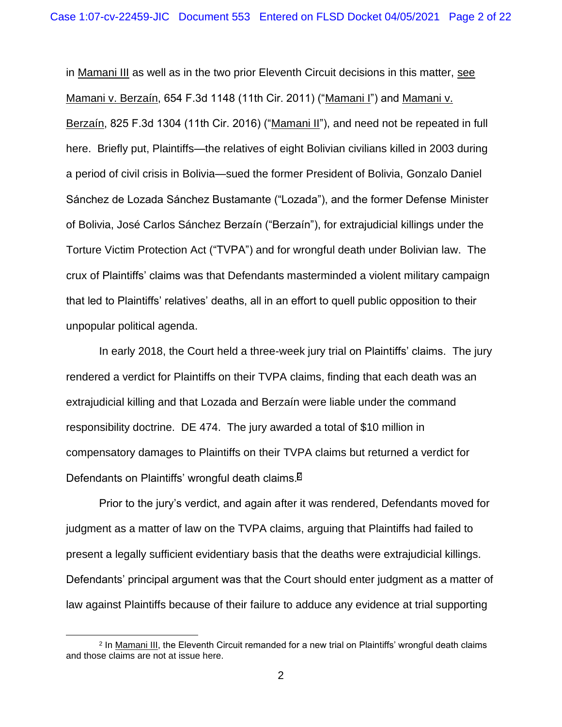in Mamani III as well as in the two prior Eleventh Circuit decisions in this matter, see Mamani v. Berzaín, 654 F.3d 1148 (11th Cir. 2011) ("Mamani I") and Mamani v. Berzaín, 825 F.3d 1304 (11th Cir. 2016) ("Mamani II"), and need not be repeated in full here. Briefly put, Plaintiffs—the relatives of eight Bolivian civilians killed in 2003 during a period of civil crisis in Bolivia—sued the former President of Bolivia, Gonzalo Daniel Sánchez de Lozada Sánchez Bustamante ("Lozada"), and the former Defense Minister of Bolivia, José Carlos Sánchez Berzaín ("Berzaín"), for extrajudicial killings under the Torture Victim Protection Act ("TVPA") and for wrongful death under Bolivian law. The crux of Plaintiffs' claims was that Defendants masterminded a violent military campaign that led to Plaintiffs' relatives' deaths, all in an effort to quell public opposition to their unpopular political agenda.

In early 2018, the Court held a three-week jury trial on Plaintiffs' claims. The jury rendered a verdict for Plaintiffs on their TVPA claims, finding that each death was an extrajudicial killing and that Lozada and Berzaín were liable under the command responsibility doctrine. DE 474. The jury awarded a total of \$10 million in compensatory damages to Plaintiffs on their TVPA claims but returned a verdict for Defendants on Plaintiffs' wrongful death claims.<sup>2</sup>

present a legally sufficient evidentiary basis that the deaths were extrajudicial killings.<br>Defendants' principal argument was that the Court should enter judgment as a matter of Prior to the jury's verdict, and again after it was rendered, Defendants moved for judgment as a matter of law on the TVPA claims, arguing that Plaintiffs had failed to law against Plaintiffs because of their failure to adduce any evidence at trial supporting

<sup>2</sup> In Mamani III, the Eleventh Circuit remanded for a new trial on Plaintiffs' wrongful death claims and those claims are not at issue here.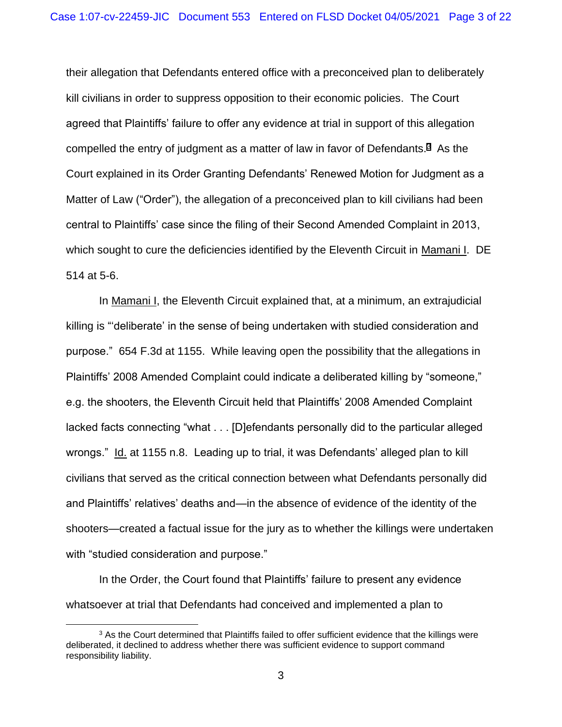their allegation that Defendants entered office with a preconceived plan to deliberately kill civilians in order to suppress opposition to their economic policies. The Court agreed that Plaintiffs' failure to offer any evidence at trial in support of this allegation compelled the entry of judgment as a matter of law in favor of Defendants.<sup>3</sup> As the Court explained in its Order Granting Defendants' Renewed Motion for Judgment as a Matter of Law ("Order"), the allegation of a preconceived plan to kill civilians had been central to Plaintiffs' case since the filing of their Second Amended Complaint in 2013, which sought to cure the deficiencies identified by the Eleventh Circuit in Mamani I. DE 514 at 5-6.

In Mamani I, the Eleventh Circuit explained that, at a minimum, an extrajudicial killing is "'deliberate' in the sense of being undertaken with studied consideration and purpose." 654 F.3d at 1155. While leaving open the possibility that the allegations in Plaintiffs' 2008 Amended Complaint could indicate a deliberated killing by "someone," e.g. the shooters, the Eleventh Circuit held that Plaintiffs' 2008 Amended Complaint lacked facts connecting "what . . . [D]efendants personally did to the particular alleged wrongs." Id. at 1155 n.8. Leading up to trial, it was Defendants' alleged plan to kill civilians that served as the critical connection between what Defendants personally did and Plaintiffs' relatives' deaths and—in the absence of evidence of the identity of the shooters—created a factual issue for the jury as to whether the killings were undertaken with "studied consideration and purpose."

 whatsoever at trial that Defendants had conceived and implemented a plan to In the Order, the Court found that Plaintiffs' failure to present any evidence

<sup>&</sup>lt;sup>3</sup> As the Court determined that Plaintiffs failed to offer sufficient evidence that the killings were deliberated, it declined to address whether there was sufficient evidence to support command responsibility liability.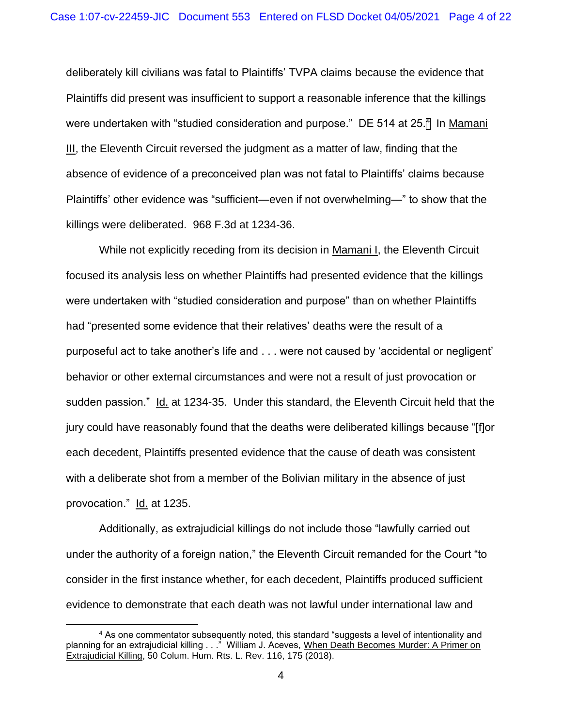deliberately kill civilians was fatal to Plaintiffs' TVPA claims because the evidence that Plaintiffs did present was insufficient to support a reasonable inference that the killings were undertaken with "studied consideration and purpose." DE 514 at 25.4 In Mamani III, the Eleventh Circuit reversed the judgment as a matter of law, finding that the absence of evidence of a preconceived plan was not fatal to Plaintiffs' claims because Plaintiffs' other evidence was "sufficient—even if not overwhelming—" to show that the killings were deliberated. 968 F.3d at 1234-36.

While not explicitly receding from its decision in Mamani I, the Eleventh Circuit focused its analysis less on whether Plaintiffs had presented evidence that the killings were undertaken with "studied consideration and purpose" than on whether Plaintiffs had "presented some evidence that their relatives' deaths were the result of a purposeful act to take another's life and . . . were not caused by 'accidental or negligent' behavior or other external circumstances and were not a result of just provocation or sudden passion." Id. at 1234-35. Under this standard, the Eleventh Circuit held that the jury could have reasonably found that the deaths were deliberated killings because "[f]or each decedent, Plaintiffs presented evidence that the cause of death was consistent with a deliberate shot from a member of the Bolivian military in the absence of just provocation." Id. at 1235.

Additionally, as extrajudicial killings do not include those "lawfully carried out under the authority of a foreign nation," the Eleventh Circuit remanded for the Court "to consider in the first instance whether, for each decedent, Plaintiffs produced sufficient evidence to demonstrate that each death was not lawful under international law and

<sup>&</sup>lt;sup>4</sup> As one commentator subsequently noted, this standard "suggests a level of intentionality and planning for an extrajudicial killing . . ." William J. Aceves, When Death Becomes Murder: A Primer on Extrajudicial Killing, 50 Colum. Hum. Rts. L. Rev. 116, 175 (2018).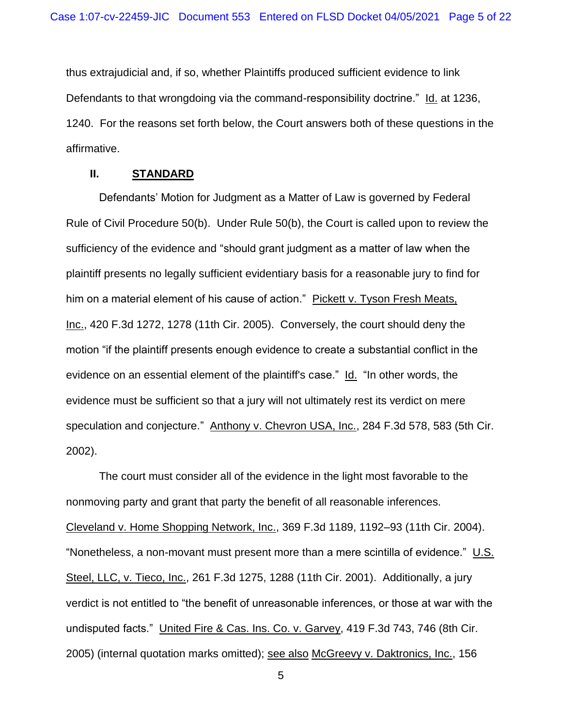thus extrajudicial and, if so, whether Plaintiffs produced sufficient evidence to link Defendants to that wrongdoing via the command-responsibility doctrine." Id. at 1236, 1240. For the reasons set forth below, the Court answers both of these questions in the affirmative.

#### **II. STANDARD**

Defendants' Motion for Judgment as a Matter of Law is governed by Federal Rule of Civil Procedure 50(b). Under Rule 50(b), the Court is called upon to review the sufficiency of the evidence and "should grant judgment as a matter of law when the plaintiff presents no legally sufficient evidentiary basis for a reasonable jury to find for him on a material element of his cause of action." Pickett v. Tyson Fresh Meats, Inc., 420 F.3d 1272, 1278 (11th Cir. 2005). Conversely, the court should deny the motion "if the plaintiff presents enough evidence to create a substantial conflict in the evidence on an essential element of the plaintiff's case." Id. "In other words, the evidence must be sufficient so that a jury will not ultimately rest its verdict on mere speculation and conjecture." Anthony v. Chevron USA, Inc., 284 F.3d 578, 583 (5th Cir. 2002).

The court must consider all of the evidence in the light most favorable to the nonmoving party and grant that party the benefit of all reasonable inferences. Cleveland v. Home Shopping Network, Inc., 369 F.3d 1189, 1192–93 (11th Cir. 2004). "Nonetheless, a non-movant must present more than a mere scintilla of evidence." U.S. Steel, LLC, v. Tieco, Inc., 261 F.3d 1275, 1288 (11th Cir. 2001). Additionally, a jury verdict is not entitled to "the benefit of unreasonable inferences, or those at war with the undisputed facts." United Fire & Cas. Ins. Co. v. Garvey, 419 F.3d 743, 746 (8th Cir. 2005) (internal quotation marks omitted); see also McGreevy v. Daktronics, Inc., 156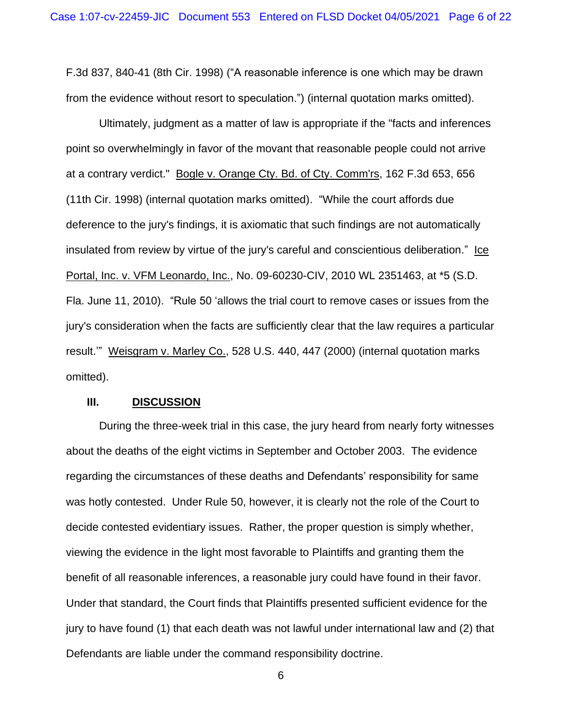F.3d 837, 840-41 (8th Cir. 1998) ("A reasonable inference is one which may be drawn from the evidence without resort to speculation.") (internal quotation marks omitted).

Ultimately, judgment as a matter of law is appropriate if the "facts and inferences point so overwhelmingly in favor of the movant that reasonable people could not arrive at a contrary verdict." Bogle v. Orange Cty. Bd. of Cty. Comm'rs, 162 F.3d 653, 656 (11th Cir. 1998) (internal quotation marks omitted). "While the court affords due deference to the jury's findings, it is axiomatic that such findings are not automatically insulated from review by virtue of the jury's careful and conscientious deliberation." Ice Portal, Inc. v. VFM Leonardo, Inc., No. 09-60230-CIV, 2010 WL 2351463, at \*5 (S.D. Fla. June 11, 2010). "Rule 50 'allows the trial court to remove cases or issues from the jury's consideration when the facts are sufficiently clear that the law requires a particular result.'" Weisgram v. Marley Co., 528 U.S. 440, 447 (2000) (internal quotation marks omitted).

#### **III. DISCUSSION**

 decide contested evidentiary issues. Rather, the proper question is simply whether, benefit of all reasonable inferences, a reasonable jury could have found in their favor. benefit of all reasonable inferences, a reasonable jury could have found in their favor.<br>Under that standard, the Court finds that Plaintiffs presented sufficient evidence for the During the three-week trial in this case, the jury heard from nearly forty witnesses about the deaths of the eight victims in September and October 2003. The evidence regarding the circumstances of these deaths and Defendants' responsibility for same was hotly contested. Under Rule 50, however, it is clearly not the role of the Court to viewing the evidence in the light most favorable to Plaintiffs and granting them the jury to have found (1) that each death was not lawful under international law and (2) that Defendants are liable under the command responsibility doctrine.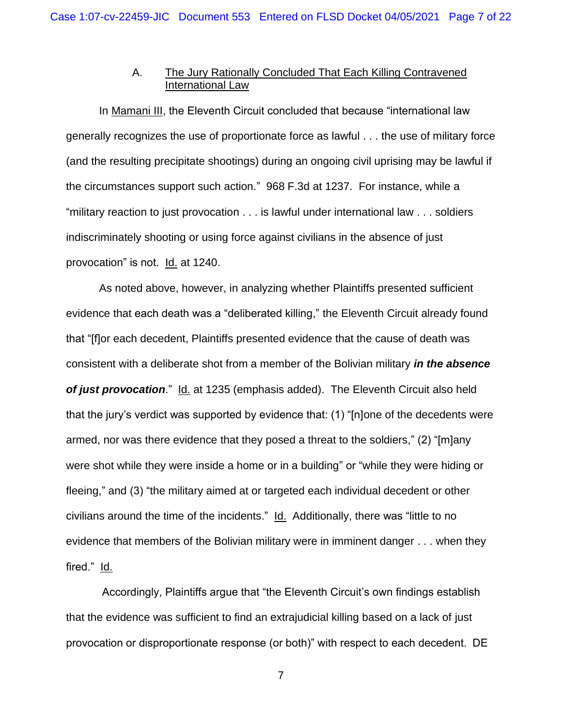## A. The Jury Rationally Concluded That **Each Killing Contravened** International Law

In Mamani III, the Eleventh Circuit concluded that because "international law generally recognizes the use of proportionate force as lawful . . . the use of military force (and the resulting precipitate shootings) during an ongoing civil uprising may be lawful if the circumstances support such action." 968 F.3d at 1237. For instance, while a "military reaction to just provocation . . . is lawful under international law . . . soldiers indiscriminately shooting or using force against civilians in the absence of just provocation" is not. Id. at 1240.

As noted above, however, in analyzing whether Plaintiffs presented sufficient evidence that each death was a "deliberated killing," the Eleventh Circuit already found that "[f]or each decedent, Plaintiffs presented evidence that the cause of death was consistent with a deliberate shot from a member of the Bolivian military *in the absence of just provocation*." Id. at 1235 (emphasis added). The Eleventh Circuit also held that the jury's verdict was supported by evidence that: (1) "[n]one of the decedents were armed, nor was there evidence that they posed a threat to the soldiers," (2) "[m]any were shot while they were inside a home or in a building" or "while they were hiding or fleeing," and (3) "the military aimed at or targeted each individual decedent or other civilians around the time of the incidents." Id. Additionally, there was "little to no evidence that members of the Bolivian military were in imminent danger . . . when they fired." Id.

Accordingly, Plaintiffs argue that "the Eleventh Circuit's own findings establish that the evidence was sufficient to find an extrajudicial killing based on a lack of just provocation or disproportionate response (or both)" with respect to each decedent. DE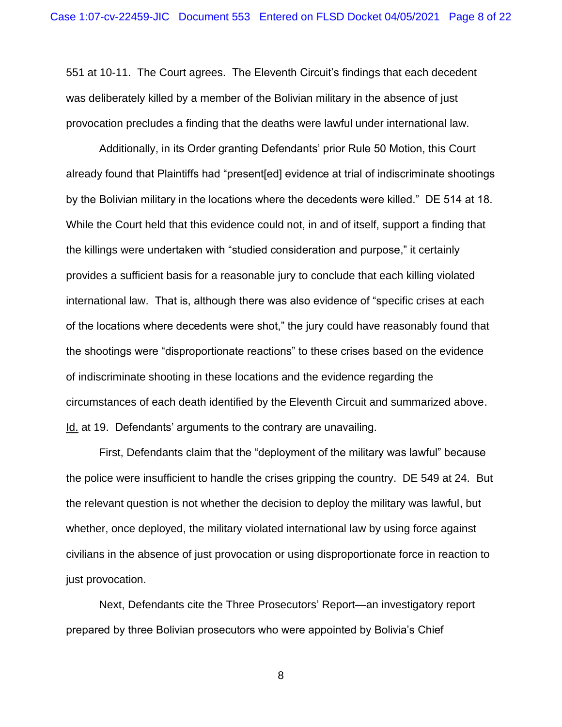551 at 10-11. The Court agrees. The Eleventh Circuit's findings that each decedent was deliberately killed by a member of the Bolivian military in the absence of just provocation precludes a finding that the deaths were lawful under international law.

 by the Bolivian military in the locations where the decedents were killed." DE 514 at 18. circumstances of each death identified by the Eleventh Circuit and summarized above.<br><u>Id.</u> at 19. Defendants' arguments to the contrary are unavailing. Additionally, in its Order granting Defendants' prior Rule 50 Motion, this Court already found that Plaintiffs had "present[ed] evidence at trial of indiscriminate shootings While the Court held that this evidence could not, in and of itself, support a finding that the killings were undertaken with "studied consideration and purpose," it certainly provides a sufficient basis for a reasonable jury to conclude that each killing violated international law. That is, although there was also evidence of "specific crises at each of the locations where decedents were shot," the jury could have reasonably found that the shootings were "disproportionate reactions" to these crises based on the evidence of indiscriminate shooting in these locations and the evidence regarding the

First, Defendants claim that the "deployment of the military was lawful" because the police were insufficient to handle the crises gripping the country. DE 549 at 24. But the relevant question is not whether the decision to deploy the military was lawful, but whether, once deployed, the military violated international law by using force against civilians in the absence of just provocation or using disproportionate force in reaction to just provocation.

Next, Defendants cite the Three Prosecutors' Report—an investigatory report prepared by three Bolivian prosecutors who were appointed by Bolivia's Chief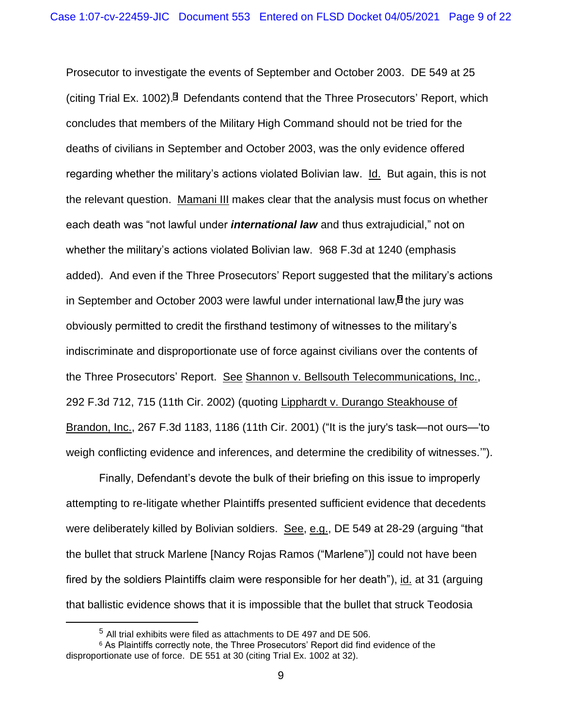Prosecutor to investigate the events of September and October 2003. DE 549 at 25 (citing Trial Ex. 1002).<sup>5</sup> Defendants contend that the Three Prosecutors' Report, which concludes that members of the Military High Command should not be tried for the deaths of civilians in September and October 2003, was the only evidence offered regarding whether the military's actions violated Bolivian law. Id. But again, this is not the relevant question. Mamani III makes clear that the analysis must focus on whether each death was "not lawful under *international law* and thus extrajudicial," not on whether the military's actions violated Bolivian law. 968 F.3d at 1240 (emphasis added). And even if the Three Prosecutors' Report suggested that the military's actions in September and October 2003 were lawful under international law, $<sup>6</sup>$  the jury was</sup> obviously permitted to credit the firsthand testimony of witnesses to the military's indiscriminate and disproportionate use of force against civilians over the contents of the Three Prosecutors' Report. See Shannon v. Bellsouth Telecommunications, Inc., 292 F.3d 712, 715 (11th Cir. 2002) (quoting Lipphardt v. Durango Steakhouse of Brandon, Inc., 267 F.3d 1183, 1186 (11th Cir. 2001) ("It is the jury's task—not ours—'to weigh conflicting evidence and inferences, and determine the credibility of witnesses.'").

Finally, Defendant's devote the bulk of their briefing on this issue to improperly attempting to re-litigate whether Plaintiffs presented sufficient evidence that decedents were deliberately killed by Bolivian soldiers. See, e.g., DE 549 at 28-29 (arguing "that the bullet that struck Marlene [Nancy Rojas Ramos ("Marlene")] could not have been fired by the soldiers Plaintiffs claim were responsible for her death"), id. at 31 (arguing that ballistic evidence shows that it is impossible that the bullet that struck Teodosia

<sup>5</sup> All trial exhibits were filed as attachments to DE 497 and DE 506.

<sup>6</sup> As Plaintiffs correctly note, the Three Prosecutors' Report did find evidence of the disproportionate use of force. DE 551 at 30 (citing Trial Ex. 1002 at 32).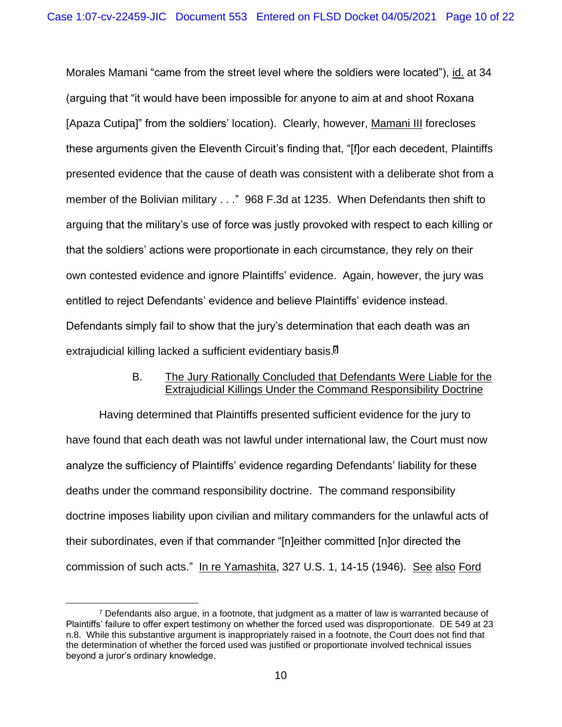Morales Mamani "came from the street level where the soldiers were located"), id. at 34 (arguing that "it would have been impossible for anyone to aim at and shoot Roxana [Apaza Cutipa]" from the soldiers' location). Clearly, however, Mamani III forecloses these arguments given the Eleventh Circuit's finding that, "[f]or each decedent, Plaintiffs presented evidence that the cause of death was consistent with a deliberate shot from a member of the Bolivian military . . ." 968 F.3d at 1235. When Defendants then shift to arguing that the military's use of force was justly provoked with respect to each killing or that the soldiers' actions were proportionate in each circumstance, they rely on their own contested evidence and ignore Plaintiffs' evidence. Again, however, the jury was entitled to reject Defendants' evidence and believe Plaintiffs' evidence instead. Defendants simply fail to show that the jury's determination that each death was an extrajudicial killing lacked a sufficient evidentiary basis.<sup>7</sup>

### B. The Jury Rationally Concluded that Defendants Were Liable for the Extrajudicial Killings Under the Command Responsibility Doctrine

Having determined that Plaintiffs presented sufficient evidence for the jury to have found that each death was not lawful under international law, the Court must now analyze the sufficiency of Plaintiffs' evidence regarding Defendants' liability for these deaths under the command responsibility doctrine. The command responsibility doctrine imposes liability upon civilian and military commanders for the unlawful acts of their subordinates, even if that commander "[n]either committed [n]or directed the commission of such acts." In re Yamashita, 327 U.S. 1, 14-15 (1946). See also Ford

 $7$  Defendants also argue, in a footnote, that judgment as a matter of law is warranted because of Plaintiffs' failure to offer expert testimony on whether the forced used was disproportionate. DE 549 at 23 n.8. While this substantive argument is inappropriately raised in a footnote, the Court does not find that the determination of whether the forced used was justified or proportionate involved technical issues beyond a juror's ordinary knowledge.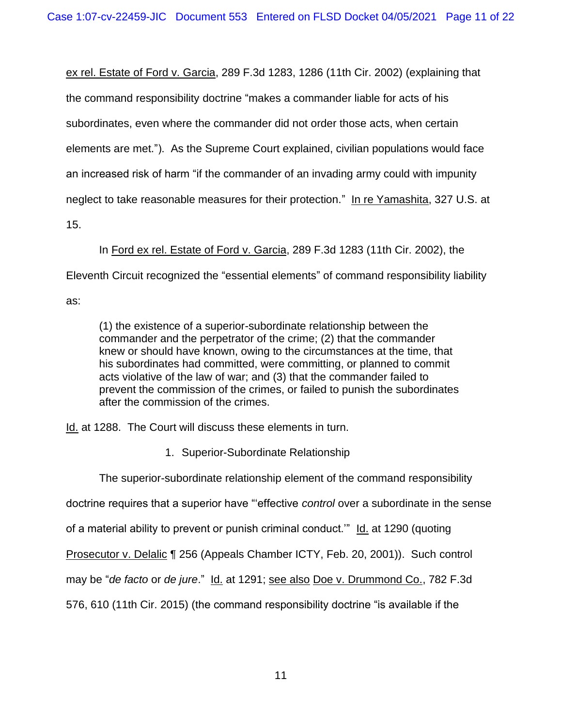ex rel. Estate of Ford v. Garcia, 289 F.3d 1283, 1286 (11th Cir. 2002) (explaining that the command responsibility doctrine "makes a commander liable for acts of his subordinates, even where the commander did not order those acts, when certain elements are met."). As the Supreme Court explained, civilian populations would face an increased risk of harm "if the commander of an invading army could with impunity neglect to take reasonable measures for their protection." In re Yamashita, 327 U.S. at 15.

In Ford ex rel. Estate of Ford v. Garcia, 289 F.3d 1283 (11th Cir. 2002), the

Eleventh Circuit recognized the "essential elements" of command responsibility liability

as:

(1) the existence of a superior-subordinate relationship between the commander and the perpetrator of the crime; (2) that the commander knew or should have known, owing to the circumstances at the time, that his subordinates had committed, were committing, or planned to commit acts violative of the law of war; and (3) that the commander failed to prevent the commission of the crimes, or failed to punish the subordinates after the commission of the crimes.

Id. at 1288. The Court will discuss these elements in turn.

1. Superior-Subordinate Relationship

The superior-subordinate relationship element of the command responsibility

doctrine requires that a superior have "'effective *control* over a subordinate in the sense

of a material ability to prevent or punish criminal conduct." Id. at 1290 (quoting

Prosecutor v. Delalic ¶ 256 (Appeals Chamber ICTY, Feb. 20, 2001)). Such control

may be "*de facto* or *de jure*." Id. at 1291; see also Doe v. Drummond Co., 782 F.3d

576, 610 (11th Cir. 2015) (the command responsibility doctrine "is available if the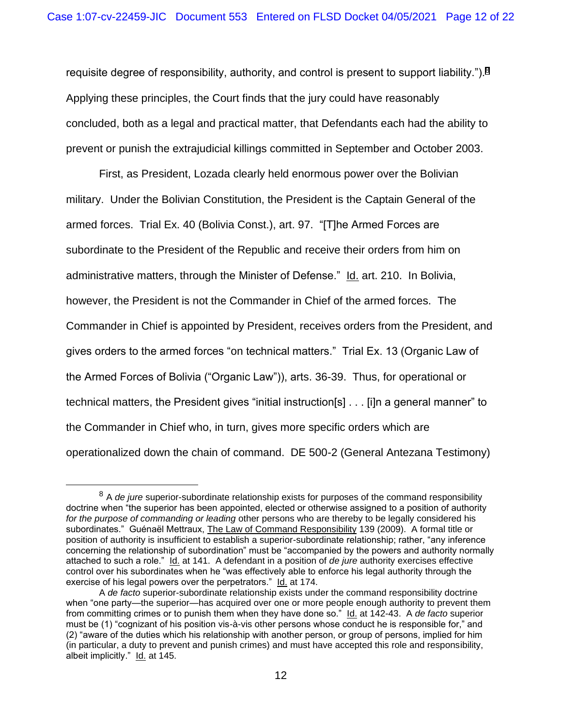requisite degree of responsibility, authority, and control is present to support liability.").8 Applying these principles, the Court finds that the jury could have reasonably concluded, both as a legal and practical matter, that Defendants each had the ability to prevent or punish the extrajudicial killings committed in September and October 2003.

First, as President, Lozada clearly held enormous power over the Bolivian military. Under the Bolivian Constitution, the President is the Captain General of the armed forces. Trial Ex. 40 (Bolivia Const.), art. 97. "[T]he Armed Forces are subordinate to the President of the Republic and receive their orders from him on administrative matters, through the Minister of Defense." Id. art. 210. In Bolivia, however, the President is not the Commander in Chief of the armed forces. The Commander in Chief is appointed by President, receives orders from the President, and gives orders to the armed forces "on technical matters." Trial Ex. 13 (Organic Law of the Armed Forces of Bolivia ("Organic Law")), arts. 36-39. Thus, for operational or technical matters, the President gives "initial instruction[s] . . . [i]n a general manner" to the Commander in Chief who, in turn, gives more specific orders which are operationalized down the chain of command. DE 500-2 (General Antezana Testimony)

<sup>8</sup> A *de jure* superior-subordinate relationship exists for purposes of the command responsibility doctrine when "the superior has been appointed, elected or otherwise assigned to a position of authority *for the purpose of commanding or leading* other persons who are thereby to be legally considered his subordinates." Guénaël Mettraux, The Law of Command Responsibility 139 (2009). A formal title or position of authority is insufficient to establish a superior-subordinate relationship; rather, "any inference concerning the relationship of subordination" must be "accompanied by the powers and authority normally attached to such a role." Id. at 141. A defendant in a position of *de jure* authority exercises effective control over his subordinates when he "was effectively able to enforce his legal authority through the exercise of his legal powers over the perpetrators." Id. at 174.

A *de facto* superior-subordinate relationship exists under the command responsibility doctrine when "one party—the superior—has acquired over one or more people enough authority to prevent them from committing crimes or to punish them when they have done so." Id. at 142-43. A *de facto* superior must be (1) "cognizant of his position vis-à-vis other persons whose conduct he is responsible for," and (2) "aware of the duties which his relationship with another person, or group of persons, implied for him (in particular, a duty to prevent and punish crimes) and must have accepted this role and responsibility, albeit implicitly." Id. at 145.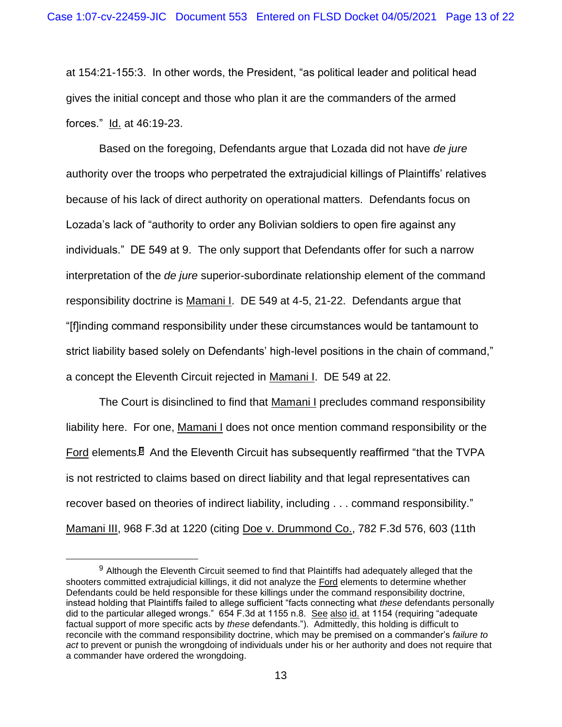at 154:21-155:3. In other words, the President, "as political leader and political head gives the initial concept and those who plan it are the commanders of the armed forces." Id. at 46:19-23.

Based on the foregoing, Defendants argue that Lozada did not have *de jure*  authority over the troops who perpetrated the extrajudicial killings of Plaintiffs' relatives because of his lack of direct authority on operational matters. Defendants focus on Lozada's lack of "authority to order any Bolivian soldiers to open fire against any individuals." DE 549 at 9. The only support that Defendants offer for such a narrow interpretation of the *de jure* superior-subordinate relationship element of the command responsibility doctrine is Mamani I. DE 549 at 4-5, 21-22. Defendants argue that "[f]inding command responsibility under these circumstances would be tantamount to strict liability based solely on Defendants' high-level positions in the chain of command," a concept the Eleventh Circuit rejected in Mamani I. DE 549 at 22.

The Court is disinclined to find that Mamani I precludes command responsibility liability here. For one, Mamani I does not once mention command responsibility or the Ford elements.9 And the Eleventh Circuit has subsequently reaffirmed "that the TVPA is not restricted to claims based on direct liability and that legal representatives can recover based on theories of indirect liability, including . . . command responsibility." Mamani III, 968 F.3d at 1220 (citing Doe v. Drummond Co., 782 F.3d 576, 603 (11th

<sup>&</sup>lt;sup>9</sup> Although the Eleventh Circuit seemed to find that Plaintiffs had adequately alleged that the shooters committed extrajudicial killings, it did not analyze the Ford elements to determine whether Defendants could be held responsible for these killings under the command responsibility doctrine, instead holding that Plaintiffs failed to allege sufficient "facts connecting what *these* defendants personally did to the particular alleged wrongs." 654 F.3d at 1155 n.8. See also id. at 1154 (requiring "adequate factual support of more specific acts by *these* defendants."). Admittedly, this holding is difficult to reconcile with the command responsibility doctrine, which may be premised on a commander's *failure to act* to prevent or punish the wrongdoing of individuals under his or her authority and does not require that a commander have ordered the wrongdoing.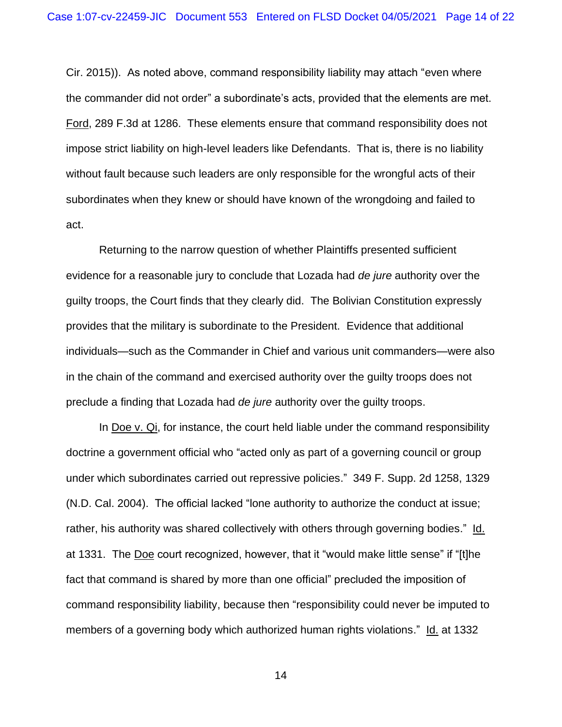the commander did not order" a subordinate's acts, provided that the elements are met. Ford, 289 F.3d at 1286. These elements ensure that command responsibility does not impose strict liability on high-level leaders like Defendants. That is, there is no liability subordinates when they knew or should have known of the wrongdoing and failed to Cir. 2015)). As noted above, command responsibility liability may attach "even where without fault because such leaders are only responsible for the wrongful acts of their act.

 guilty troops, the Court finds that they clearly did. The Bolivian Constitution expressly provides that the military is subordinate to the President. Evidence that additional preclude a finding that Lozada had *de jure* authority over the guilty troops. Returning to the narrow question of whether Plaintiffs presented sufficient evidence for a reasonable jury to conclude that Lozada had *de jure* authority over the individuals—such as the Commander in Chief and various unit commanders—were also in the chain of the command and exercised authority over the guilty troops does not

In Doe v. Qi, for instance, the court held liable under the command responsibility doctrine a government official who "acted only as part of a governing council or group under which subordinates carried out repressive policies." 349 F. Supp. 2d 1258, 1329 (N.D. Cal. 2004). The official lacked "lone authority to authorize the conduct at issue; rather, his authority was shared collectively with others through governing bodies." Id. at 1331. The Doe court recognized, however, that it "would make little sense" if "[t]he fact that command is shared by more than one official" precluded the imposition of command responsibility liability, because then "responsibility could never be imputed to members of a governing body which authorized human rights violations." Id. at 1332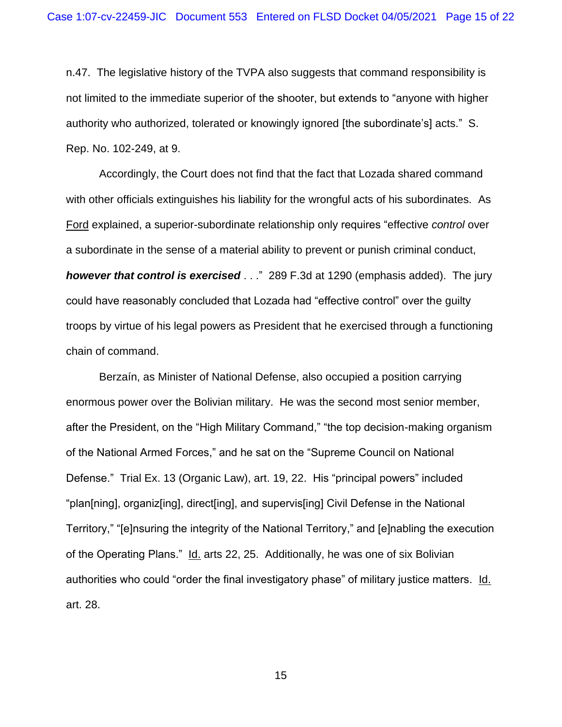n.47. The legislative history of the TVPA also suggests that command responsibility is not limited to the immediate superior of the shooter, but extends to "anyone with higher authority who authorized, tolerated or knowingly ignored [the subordinate's] acts." S. Rep. No. 102-249, at 9.

Accordingly, the Court does not find that the fact that Lozada shared command with other officials extinguishes his liability for the wrongful acts of his subordinates. As Ford explained, a superior-subordinate relationship only requires "effective *control* over a subordinate in the sense of a material ability to prevent or punish criminal conduct, *however that control is exercised* . . ." 289 F.3d at 1290 (emphasis added). The jury could have reasonably concluded that Lozada had "effective control" over the guilty troops by virtue of his legal powers as President that he exercised through a functioning chain of command.

Berzaín, as Minister of National Defense, also occupied a position carrying enormous power over the Bolivian military. He was the second most senior member, after the President, on the "High Military Command," "the top decision-making organism of the National Armed Forces," and he sat on the "Supreme Council on National Defense." Trial Ex. 13 (Organic Law), art. 19, 22. His "principal powers" included "plan[ning], organiz[ing], direct[ing], and supervis[ing] Civil Defense in the National Territory," "[e]nsuring the integrity of the National Territory," and [e]nabling the execution of the Operating Plans." Id. arts 22, 25. Additionally, he was one of six Bolivian authorities who could "order the final investigatory phase" of military justice matters. Id. art. 28.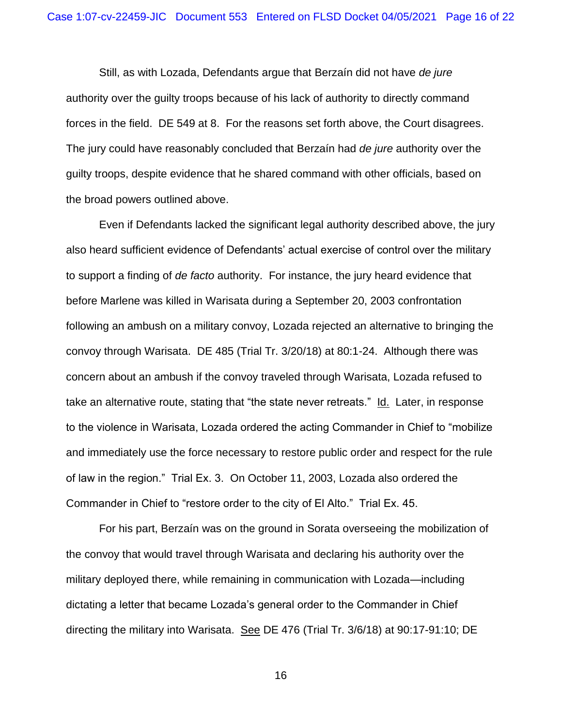forces in the field. DE 549 at 8. For the reasons set forth above, the Court disagrees. guilty troops, despite evidence that he shared command with other officials, based on Still, as with Lozada, Defendants argue that Berzaín did not have *de jure*  authority over the guilty troops because of his lack of authority to directly command The jury could have reasonably concluded that Berzaín had *de jure* authority over the the broad powers outlined above.

 to support a finding of *de facto* authority. For instance, the jury heard evidence that before Marlene was killed in Warisata during a September 20, 2003 confrontation following an ambush on a military convoy, Lozada rejected an alternative to bringing the convoy through Warisata. DE 485 (Trial Tr. 3/20/18) at 80:1-24. Although there was concern about an ambush if the convoy traveled through Warisata, Lozada refused to take an alternative route, stating that "the state never retreats." Id. Later, in response Commander in Chief to "restore order to the city of El Alto." Trial Ex. 45. Even if Defendants lacked the significant legal authority described above, the jury also heard sufficient evidence of Defendants' actual exercise of control over the military to the violence in Warisata, Lozada ordered the acting Commander in Chief to "mobilize and immediately use the force necessary to restore public order and respect for the rule of law in the region." Trial Ex. 3. On October 11, 2003, Lozada also ordered the

For his part, Berzaín was on the ground in Sorata overseeing the mobilization of the convoy that would travel through Warisata and declaring his authority over the military deployed there, while remaining in communication with Lozada—including dictating a letter that became Lozada's general order to the Commander in Chief directing the military into Warisata. See DE 476 (Trial Tr. 3/6/18) at 90:17-91:10; DE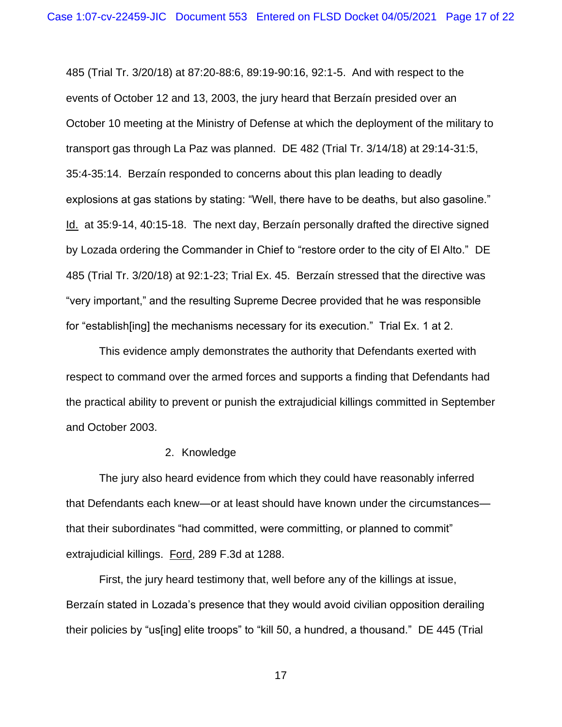485 (Trial Tr. 3/20/18) at 87:20-88:6, 89:19-90:16, 92:1-5. And with respect to the events of October 12 and 13, 2003, the jury heard that Berzaín presided over an October 10 meeting at the Ministry of Defense at which the deployment of the military to transport gas through La Paz was planned. DE 482 (Trial Tr. 3/14/18) at 29:14-31:5, 35:4-35:14. Berzaín responded to concerns about this plan leading to deadly explosions at gas stations by stating: "Well, there have to be deaths, but also gasoline." Id. at 35:9-14, 40:15-18. The next day, Berzaín personally drafted the directive signed by Lozada ordering the Commander in Chief to "restore order to the city of El Alto." DE 485 (Trial Tr. 3/20/18) at 92:1-23; Trial Ex. 45. Berzaín stressed that the directive was "very important," and the resulting Supreme Decree provided that he was responsible for "establish[ing] the mechanisms necessary for its execution." Trial Ex. 1 at 2.

 respect to command over the armed forces and supports a finding that Defendants had and October 2003. 2. Knowledge This evidence amply demonstrates the authority that Defendants exerted with the practical ability to prevent or punish the extrajudicial killings committed in September

The jury also heard evidence from which they could have reasonably inferred that Defendants each knew—or at least should have known under the circumstances that their subordinates "had committed, were committing, or planned to commit" extrajudicial killings. Ford, 289 F.3d at 1288.

First, the jury heard testimony that, well before any of the killings at issue, Berzaín stated in Lozada's presence that they would avoid civilian opposition derailing their policies by "us[ing] elite troops" to "kill 50, a hundred, a thousand." DE 445 (Trial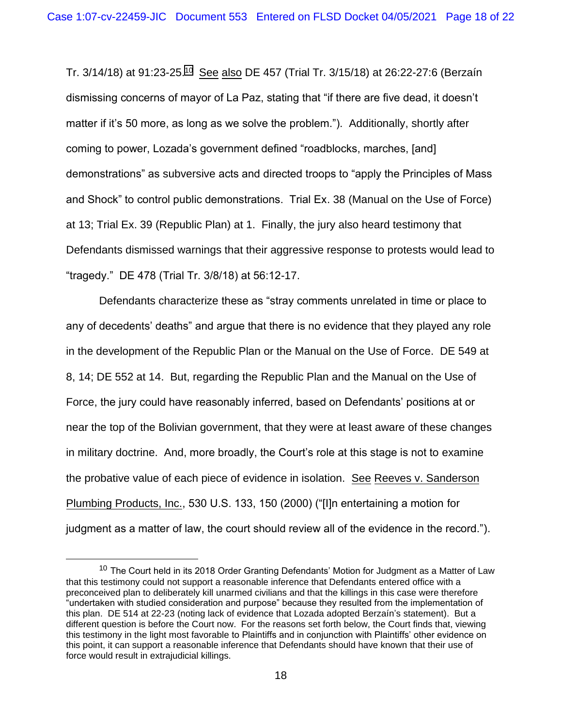Tr. 3/14/18) at 91:23-25.<sup>10</sup> See also DE 457 (Trial Tr. 3/15/18) at 26:22-27:6 (Berzaín matter if it's 50 more, as long as we solve the problem."). Additionally, shortly after and Shock" to control public demonstrations. Trial Ex. 38 (Manual on the Use of Force) Defendants dismissed warnings that their aggressive response to protests would lead to dismissing concerns of mayor of La Paz, stating that "if there are five dead, it doesn't coming to power, Lozada's government defined "roadblocks, marches, [and] demonstrations" as subversive acts and directed troops to "apply the Principles of Mass at 13; Trial Ex. 39 (Republic Plan) at 1. Finally, the jury also heard testimony that "tragedy." DE 478 (Trial Tr. 3/8/18) at 56:12-17.

Defendants characterize these as "stray comments unrelated in time or place to any of decedents' deaths" and argue that there is no evidence that they played any role in the development of the Republic Plan or the Manual on the Use of Force. DE 549 at 8, 14; DE 552 at 14. But, regarding the Republic Plan and the Manual on the Use of Force, the jury could have reasonably inferred, based on Defendants' positions at or near the top of the Bolivian government, that they were at least aware of these changes in military doctrine. And, more broadly, the Court's role at this stage is not to examine the probative value of each piece of evidence in isolation. See Reeves v. Sanderson Plumbing Products, Inc., 530 U.S. 133, 150 (2000) ("[I]n entertaining a motion for judgment as a matter of law, the court should review all of the evidence in the record.").

<sup>&</sup>lt;sup>10</sup> The Court held in its 2018 Order Granting Defendants' Motion for Judgment as a Matter of Law that this testimony could not support a reasonable inference that Defendants entered office with a preconceived plan to deliberately kill unarmed civilians and that the killings in this case were therefore "undertaken with studied consideration and purpose" because they resulted from the implementation of this plan. DE 514 at 22-23 (noting lack of evidence that Lozada adopted Berzaín's statement). But a different question is before the Court now. For the reasons set forth below, the Court finds that, viewing this testimony in the light most favorable to Plaintiffs and in conjunction with Plaintiffs' other evidence on this point, it can support a reasonable inference that Defendants should have known that their use of force would result in extrajudicial killings.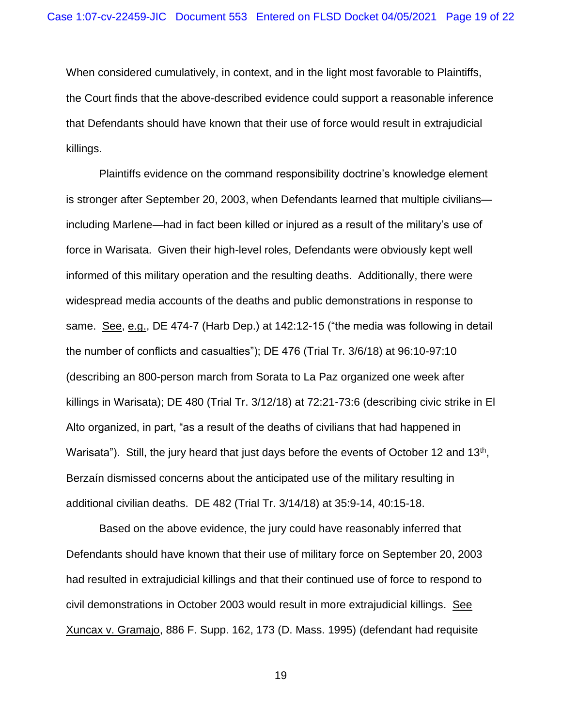When considered cumulatively, in context, and in the light most favorable to Plaintiffs, the Court finds that the above-described evidence could support a reasonable inference that Defendants should have known that their use of force would result in extrajudicial killings.

 informed of this military operation and the resulting deaths. Additionally, there were widespread media accounts of the deaths and public demonstrations in response to additional civilian deaths. DE 482 (Trial Tr. 3/14/18) at 35:9-14, 40:15-18. Plaintiffs evidence on the command responsibility doctrine's knowledge element is stronger after September 20, 2003, when Defendants learned that multiple civilians including Marlene—had in fact been killed or injured as a result of the military's use of force in Warisata. Given their high-level roles, Defendants were obviously kept well same. See, e.g., DE 474-7 (Harb Dep.) at 142:12-15 ("the media was following in detail the number of conflicts and casualties"); DE 476 (Trial Tr. 3/6/18) at 96:10-97:10 (describing an 800-person march from Sorata to La Paz organized one week after killings in Warisata); DE 480 (Trial Tr. 3/12/18) at 72:21-73:6 (describing civic strike in El Alto organized, in part, "as a result of the deaths of civilians that had happened in Warisata"). Still, the jury heard that just days before the events of October 12 and 13<sup>th</sup>, Berzaín dismissed concerns about the anticipated use of the military resulting in

Based on the above evidence, the jury could have reasonably inferred that Defendants should have known that their use of military force on September 20, 2003 had resulted in extrajudicial killings and that their continued use of force to respond to civil demonstrations in October 2003 would result in more extrajudicial killings. See Xuncax v. Gramajo, 886 F. Supp. 162, 173 (D. Mass. 1995) (defendant had requisite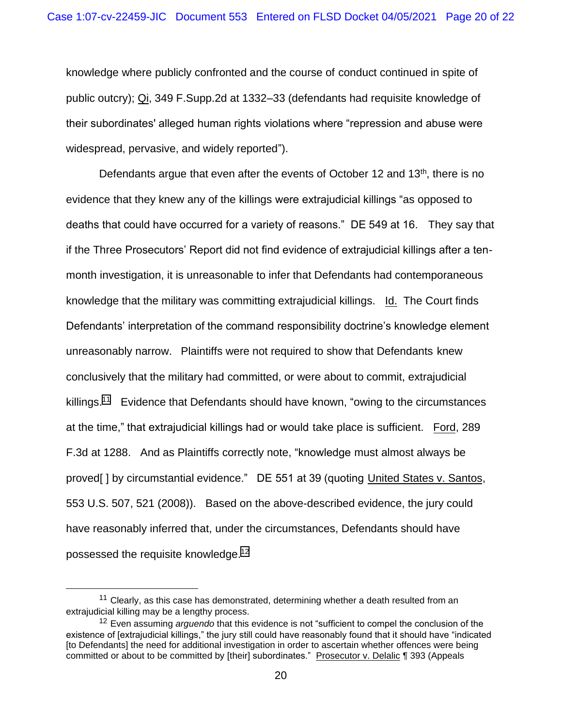<span id="page-19-0"></span>knowledge where publicly confronted and the course of conduct continued in spite of public outcry); Qi, 349 [F.Supp.2d](https://F.Supp.2d) at 1332–33 (defendants had requisite knowledge of their subordinates' alleged human rights violations where "repression and abuse were widespread, pervasive, and widely reported").

Defendants argue that even after the events of October 12 and 13<sup>th</sup>, there is no deaths that could have occurred for a variety of reasons." DE 549 at 16. They say that knowledge that the military was committing extrajudicial killings. Id. The Court finds killings.<sup>11</sup> Evidence that Defendants should have known, "owing to the circumstances at the time," that extrajudicial killings had or would take place is sufficient. Ford, 289 F.3d at 1288. And as Plaintiffs correctly note, "knowledge must almost always be have reasonably inferred that, under the circumstances, Defendants should have evidence that they knew any of the killings were extrajudicial killings "as opposed to if the Three Prosecutors' Report did not find evidence of extrajudicial killings after a tenmonth investigation, it is unreasonable to infer that Defendants had contemporaneous Defendants' interpretation of the command responsibility doctrine's knowledge element unreasonably narrow. Plaintiffs were not required to show that Defendants knew conclusively that the military had committed, or were about to commit, extrajudicial proved[ ] by circumstantial evidence." DE 551 at 39 (quoting United States v. Santos, 553 U.S. 507, 521 (2008)). Based on the above-described evidence, the jury could possessed the requisite knowledge.<sup>12</sup>

<sup>&</sup>lt;sup>11</sup> Clearly, as this case has demonstrated, determining whether a death resulted from an extrajudicial killing may be a lengthy process.

<sup>12</sup> Even assuming *arguendo* that this evidence is not "sufficient to compel the conclusion of the existence of [extrajudicial killings," the jury still could have reasonably found that it should have "indicated [to Defendants] the need for additional investigation in order to ascertain whether offences were being committed or about to be committed by [their] subordinates." Prosecutor v. Delalic ¶ 393 (Appeals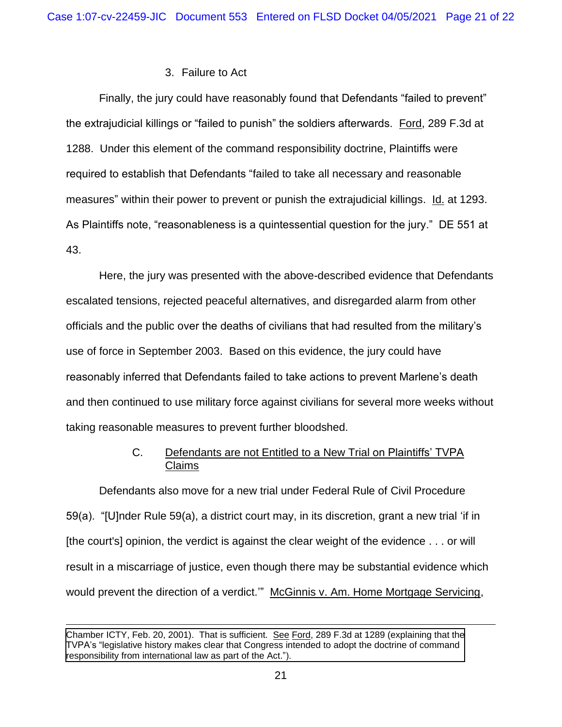#### 3. Failure to Act

Finally, the jury could have reasonably found that Defendants "failed to prevent" the extrajudicial killings or "failed to punish" the soldiers afterwards. Ford, 289 F.3d at 1288. Under this element of the command responsibility doctrine, Plaintiffs were required to establish that Defendants "failed to take all necessary and reasonable measures" within their power to prevent or punish the extrajudicial killings. Id. at 1293. As Plaintiffs note, "reasonableness is a quintessential question for the jury." DE 551 at 43.

 escalated tensions, rejected peaceful alternatives, and disregarded alarm from other officials and the public over the deaths of civilians that had resulted from the military's use of force in September 2003. Based on this evidence, the jury could have and then continued to use military force against civilians for several more weeks without Here, the jury was presented with the above-described evidence that Defendants reasonably inferred that Defendants failed to take actions to prevent Marlene's death taking reasonable measures to prevent further bloodshed.

# C. Defendants are not Entitled to a New Trial on Plaintiffs' TVPA Claims

Defendants also move for a new trial under Federal Rule of Civil Procedure 59(a). "[U]nder Rule 59(a), a district court may, in its discretion, grant a new trial 'if in [the court's] opinion, the verdict is against the clear weight of the evidence . . . or will result in a miscarriage of justice, even though there may be substantial evidence which would prevent the direction of a verdict." McGinnis v. Am. Home Mortgage Servicing,

Chamber ICTY, Feb. 20, 2001). That is sufficient. See Ford, 289 F.3d at 1289 (explaining that the [TVPA's "legislative history makes clear that Congress intended to adopt the doctrine of command](#page-19-0)  responsibility from international law as part of the Act.").